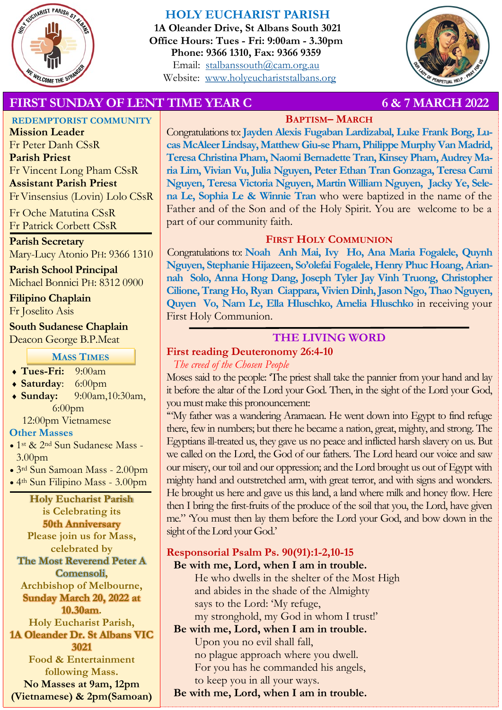

# **HOLY EUCHARIST PARISH**

**1A Oleander Drive, St Albans South 3021 Office Hours: Tues - Fri: 9:00am - 3.30pm Phone: 9366 1310, Fax: 9366 9359** Email: [stalbanssouth@cam.org.au](mailto:stalbanssouth@cam.org.au) Website:[www.holyeuchariststalbans.org](http://www.holyeuchariststalbans.org)



# FIRST SUNDAY OF LENT TIME YEAR C **6 & 7 MARCH 2022**

#### **REDEMPTORIST COMMUNITY**

**Mission Leader** Fr Peter Danh CSsR **Parish Priest** Fr Vincent Long Pham CSsR **Assistant Parish Priest**  Fr Vinsensius (Lovin) Lolo CSsR

Fr Oche Matutina CSsR Fr Patrick Corbett CSsR

**Parish Secretary**

Mary-Lucy Atonio PH: 9366 1310

**Parish School Principal** Michael Bonnici PH: 8312 0900

**Filipino Chaplain** Fr Joselito Asis

**South Sudanese Chaplain**

Deacon George B.P.Meat

**MASS TIMES**

- **Tues-Fri:** 9:00am
- **Saturday**: 6:00pm
- **Sunday:** 9:00am,10:30am, 6:00pm

12:00pm Vietnamese

## **Other Masses**

- 1st & 2nd Sun Sudanese Mass 3.00pm
- 3rd Sun Samoan Mass 2.00pm

4th Sun Filipino Mass - 3.00pm

**Holy Eucharist Parish is Celebrating its 50th Anniversary Please join us for Mass, celebrated by The Most Reverend Peter A Comensoli, Archbishop of Melbourne, Sunday March 20, 2022 at 10.30am. Holy Eucharist Parish, 1A Oleander Dr. St Albans VIC 3021 Food & Entertainment following Mass. No Masses at 9am, 12pm**

**(Vietnamese) & 2pm(Samoan)**

Congratulations to: **Jayden Alexis Fugaban Lardizabal, Luke Frank Borg, Lucas McAleer Lindsay, Matthew Giu-se Pham, Philippe Murphy Van Madrid, Teresa Christina Pham, Naomi Bernadette Tran, Kinsey Pham, Audrey Maria Lim, Vivian Vu, Julia Nguyen, Peter Ethan Tran Gonzaga, Teresa Cami Nguyen, Teresa Victoria Nguyen, Martin William Nguyen, Jacky Ye, Selena Le, Sophia Le & Winnie Tran** who were baptized in the name of the Father and of the Son and of the Holy Spirit. You are welcome to be a part of our community faith.

**BAPTISM– MARCH**

# **FIRST HOLY COMMUNION**

Congratulations to: **Noah Anh Mai, Ivy Ho, Ana Maria Fogalele, Quynh Nguyen, Stephanie Hijazeen, So'olefai Fogalele, Henry Phuc Hoang, Ariannah Solo, Anna Hong Dang, Joseph Tyler Jay Vinh Truong, Christopher Cilione, Trang Ho, Ryan Ciappara, Vivien Dinh, Jason Ngo, Thao Nguyen, Quyen Vo, Nam Le, Ella Hluschko, Amelia Hluschko** in receiving your First Holy Communion.

# **THE LIVING WORD**

# **First reading Deuteronomy 26:4-10**

## *The creed of the Chosen People*

Moses said to the people: 'The priest shall take the pannier from your hand and lay it before the altar of the Lord your God. Then, in the sight of the Lord your God, you must make this pronouncement:

'"My father was a wandering Aramaean. He went down into Egypt to find refuge there, few in numbers; but there he became a nation, great, mighty, and strong. The Egyptians ill-treated us, they gave us no peace and inflicted harsh slavery on us. But we called on the Lord, the God of our fathers. The Lord heard our voice and saw our misery, our toil and our oppression; and the Lord brought us out of Egypt with mighty hand and outstretched arm, with great terror, and with signs and wonders. He brought us here and gave us this land, a land where milk and honey flow. Here then I bring the first-fruits of the produce of the soil that you, the Lord, have given me." 'You must then lay them before the Lord your God, and bow down in the sight of the Lord your God.'

# **Responsorial Psalm Ps. 90(91):1-2,10-15**

## **Be with me, Lord, when I am in trouble.**

He who dwells in the shelter of the Most High and abides in the shade of the Almighty says to the Lord: 'My refuge, my stronghold, my God in whom I trust!'

**Be with me, Lord, when I am in trouble.**

Upon you no evil shall fall, no plague approach where you dwell. For you has he commanded his angels, to keep you in all your ways.

**Be with me, Lord, when I am in trouble.**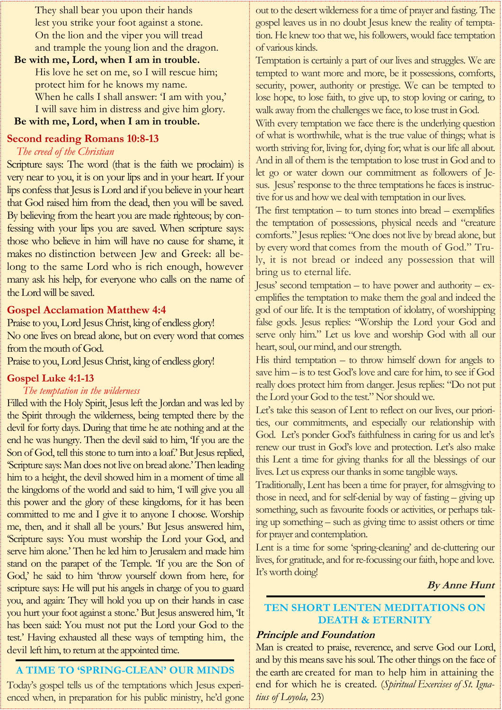They shall bear you upon their hands lest you strike your foot against a stone. On the lion and the viper you will tread and trample the young lion and the dragon.

**Be with me, Lord, when I am in trouble.** His love he set on me, so I will rescue him; protect him for he knows my name. When he calls I shall answer: 'I am with you,' I will save him in distress and give him glory.

# **Be with me, Lord, when I am in trouble.**

#### **Second reading Romans 10:8-13** *The creed of the Christian*

# Scripture says: The word (that is the faith we proclaim) is very near to you, it is on your lips and in your heart. If your lips confess that Jesus is Lord and if you believe in your heart that God raised him from the dead, then you will be saved. By believing from the heart you are made righteous; by confessing with your lips you are saved. When scripture says: those who believe in him will have no cause for shame, it makes no distinction between Jew and Greek: all belong to the same Lord who is rich enough, however many ask his help, for everyone who calls on the name of the Lord will be saved.

#### **Gospel Acclamation Matthew 4:4**

Praise to you, Lord Jesus Christ, king of endless glory! No one lives on bread alone, but on every word that comes from the mouth of God.

Praise to you, Lord Jesus Christ, king of endless glory!

#### **Gospel Luke 4:1-13**

#### *The temptation in the wilderness*

Filled with the Holy Spirit, Jesus left the Jordan and was led by the Spirit through the wilderness, being tempted there by the devil for forty days. During that time he ate nothing and at the end he was hungry. Then the devil said to him, 'If you are the Son of God, tell this stone to turn into a loaf.' But Jesus replied, 'Scripture says: Man does not live on bread alone.' Then leading him to a height, the devil showed him in a moment of time all the kingdoms of the world and said to him, 'I will give you all this power and the glory of these kingdoms, for it has been committed to me and I give it to anyone I choose. Worship me, then, and it shall all be yours.' But Jesus answered him, 'Scripture says: You must worship the Lord your God, and serve him alone.' Then he led him to Jerusalem and made him stand on the parapet of the Temple. 'If you are the Son of God,' he said to him 'throw yourself down from here, for scripture says: He will put his angels in charge of you to guard you, and again: They will hold you up on their hands in case you hurt your foot against a stone.' But Jesus answered him, 'It has been said: You must not put the Lord your God to the test.' Having exhausted all these ways of tempting him, the devil left him, to return at the appointed time.

#### **A TIME TO 'SPRING-CLEAN' OUR MINDS**

Today's gospel tells us of the temptations which Jesus experienced when, in preparation for his public ministry, he'd gone out to the desert wilderness for a time of prayer and fasting. The gospel leaves us in no doubt Jesus knew the reality of temptation. He knew too that we, his followers, would face temptation of various kinds.

Temptation is certainly a part of our lives and struggles. We are tempted to want more and more, be it possessions, comforts, security, power, authority or prestige. We can be tempted to lose hope, to lose faith, to give up, to stop loving or caring, to walk away from the challenges we face, to lose trust in God.

With every temptation we face there is the underlying question of what is worthwhile, what is the true value of things; what is worth striving for, living for, dying for; what is our life all about. And in all of them is the temptation to lose trust in God and to let go or water down our commitment as followers of Jesus. Jesus' response to the three temptations he faces is instructive for us and how we deal with temptation in our lives.

The first temptation – to turn stones into bread – exemplifies the temptation of possessions, physical needs and "creature comforts." Jesus replies: "One does not live by bread alone, but by every word that comes from the mouth of God." Truly, it is not bread or indeed any possession that will bring us to eternal life.

Jesus' second temptation – to have power and authority – exemplifies the temptation to make them the goal and indeed the god of our life. It is the temptation of idolatry, of worshipping false gods. Jesus replies: "Worship the Lord your God and serve only him." Let us love and worship God with all our heart, soul, our mind, and our strength.

His third temptation – to throw himself down for angels to save him – is to test God's love and care for him, to see if God really does protect him from danger. Jesus replies: "Do not put the Lord your God to the test." Nor should we.

Let's take this season of Lent to reflect on our lives, our priorities, our commitments, and especially our relationship with God. Let's ponder God's faithfulness in caring for us and let's renew our trust in God's love and protection. Let's also make this Lent a time for giving thanks for all the blessings of our lives. Let us express our thanks in some tangible ways.

Traditionally, Lent has been a time for prayer, for almsgiving to those in need, and for self-denial by way of fasting – giving up something, such as favourite foods or activities, or perhaps taking up something – such as giving time to assist others or time for prayer and contemplation.

Lent is a time for some 'spring-cleaning' and de-cluttering our lives, for gratitude, and for re-focussing our faith, hope and love. It's worth doing!

#### **By Anne Hunt**

#### **TEN SHORT LENTEN MEDITATIONS ON DEATH & ETERNITY**

#### **Principle and Foundation**

Man is created to praise, reverence, and serve God our Lord, and by this means save his soul. The other things on the face of the earth are created for man to help him in attaining the end for which he is created. (*Spiritual Exercises of St. Ignatius of Loyola,* 23)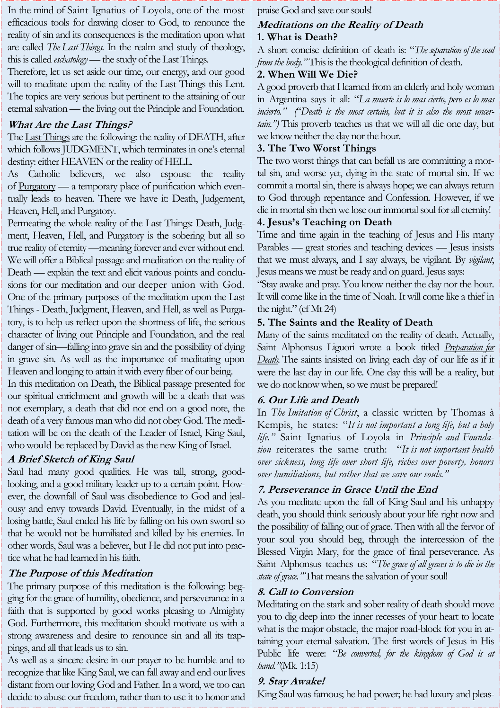In the mind of Saint Ignatius of Loyola, one of the most efficacious tools for drawing closer to God, to renounce the reality of sin and its consequences is the meditation upon what are called *The Last Things*. In the realm and study of theology, this is called *eschatology*—the study of the Last Things.

Therefore, let us set aside our time, our energy, and our good will to meditate upon the reality of the Last Things this Lent. The topics are very serious but pertinent to the attaining of our eternal salvation — the living out the Principle and Foundation.

#### **What Are the Last Things?**

The **[Last Things](https://catholicexchange.com/remember-last-things)** are the following: the reality of DEATH, after which follows JUDGMENT, which terminates in one's eternal destiny: either HEAVEN or the reality of HELL.

As Catholic believers, we also espouse the reality of [Purgatory](https://catholicexchange.com/refiners-fire-biblical-vision-purgatory) — a temporary place of purification which eventually leads to heaven. There we have it: Death, Judgement, Heaven, Hell, and Purgatory.

Permeating the whole reality of the Last Things: Death, Judgment, Heaven, Hell, and Purgatory is the sobering but all so true reality of eternity —meaning forever and ever without end. We will offer a Biblical passage and meditation on the reality of Death — explain the text and elicit various points and conclusions for our meditation and our deeper union with God. One of the primary purposes of the meditation upon the Last Things - Death, Judgment, Heaven, and Hell, as well as Purgatory, is to help us reflect upon the shortness of life, the serious character of living out Principle and Foundation, and the real danger of sin—falling into grave sin and the possibility of dying in grave sin. As well as the importance of meditating upon Heaven and longing to attain it with every fiber of our being. In this meditation on Death, the Biblical passage presented for our spiritual enrichment and growth will be a death that was not exemplary, a death that did not end on a good note, the death of a very famous man who did not obey God. The meditation will be on the death of the Leader of Israel, King Saul, who would be replaced by David as the new King of Israel.

## **A Brief Sketch of King Saul**

Saul had many good qualities. He was tall, strong, goodlooking, and a good military leader up to a certain point. However, the downfall of Saul was disobedience to God and jealousy and envy towards David. Eventually, in the midst of a losing battle, Saul ended his life by falling on his own sword so that he would not be humiliated and killed by his enemies. In other words, Saul was a believer, but He did not put into practice what he had learned in his faith.

# **The Purpose of this Meditation**

The primary purpose of this meditation is the following: begging for the grace of humility, obedience, and perseverance in a faith that is supported by good works pleasing to Almighty God. Furthermore, this meditation should motivate us with a strong awareness and desire to renounce sin and all its trappings, and all that leads us to sin.

As well as a sincere desire in our prayer to be humble and to recognize that like King Saul, we can fall away and end our lives distant from our loving God and Father. In a word, we too can decide to abuse our freedom, rather than to use it to honor and praise God and save our souls!

# **Meditations on the Reality of Death**

# **1. What is Death?**

A short concise definition of death is: "*The separation of the soul from the body.* "This is the theological definition of death.

## **2. When Will We Die?**

A good proverb that I learned from an elderly and holy woman in Argentina says it all: "*La muerte is lo mas cierto, pero es lo mas incierto." (*"*Death is the most certain, but it is also the most uncertain.")* This proverb teaches us that we will all die one day, but we know neither the day nor the hour.

## **3. The Two Worst Things**

The two worst things that can befall us are committing a mortal sin, and worse yet, dying in the state of mortal sin. If we commit a mortal sin, there is always hope; we can always return to God through repentance and Confession. However, if we die in mortal sin then we lose our immortal soul for all eternity!

## **4. Jesus's Teaching on Death**

Time and time again in the teaching of Jesus and His many Parables — great stories and teaching devices — Jesus insists that we must always, and I say always, be vigilant. By *vigilant*, Jesus means we must be ready and on guard. Jesus says:

"Stay awake and pray. You know neither the day nor the hour. It will come like in the time of Noah. It will come like a thief in the night." (cf Mt 24)

# **5. The Saints and the Reality of Death**

Many of the saints meditated on the reality of death. Actually, Saint Alphonsus Liguori wrote a book titled *[Preparation for](https://archive.org/details/preparationforde00ligu/page/n6)  [Death.](https://archive.org/details/preparationforde00ligu/page/n6)* The saints insisted on living each day of our life as if it were the last day in our life. One day this will be a reality, but we do not know when, so we must be prepared!

## **6. Our Life and Death**

In *The Imitation of Christ*, a classic written by Thomas à Kempis, he states: "*It is not important a long life, but a holy life."* Saint Ignatius of Loyola in *Principle and Foundation* reiterates the same truth: "*It is not important health over sickness, long life over short life, riches over poverty, honors over humiliations, but rather that we save our souls."*

# **7. Perseverance in Grace Until the End**

As you meditate upon the fall of King Saul and his unhappy death, you should think seriously about your life right now and the possibility of falling out of grace. Then with all the fervor of your soul you should beg, through the intercession of the Blessed Virgin Mary, for the grace of final perseverance. As Saint Alphonsus teaches us: "*The grace of all graces is to die in the state of grace."* That means the salvation of your soul!

# **8. Call to Conversion**

Meditating on the stark and sober reality of death should move you to dig deep into the inner recesses of your heart to locate what is the major obstacle, the major road-block for you in attaining your eternal salvation. The first words of Jesus in His Public life were: "*Be converted, for the kingdom of God is at hand."*(Mk. 1:15)

# **9. Stay Awake!**

King Saul was famous; he had power; he had luxury and pleas-